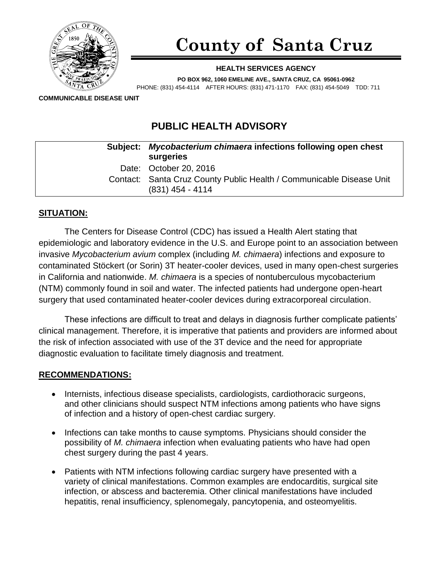

# **County of Santa Cruz**

#### **HEALTH SERVICES AGENCY**

**PO BOX 962, 1060 EMELINE AVE., SANTA CRUZ, CA 95061-0962** PHONE: (831) 454-4114 AFTER HOURS: (831) 471-1170 FAX: (831) 454-5049 TDD: 711

**COMMUNICABLE DISEASE UNIT**

## **PUBLIC HEALTH ADVISORY**

| Subject: Mycobacterium chimaera infections following open chest<br>surgeries               |
|--------------------------------------------------------------------------------------------|
| Date: October 20, 2016                                                                     |
| Contact: Santa Cruz County Public Health / Communicable Disease Unit<br>$(831)$ 454 - 4114 |

#### **SITUATION:**

The Centers for Disease Control (CDC) has issued a Health Alert stating that epidemiologic and laboratory evidence in the U.S. and Europe point to an association between invasive *Mycobacterium avium* complex (including *M. chimaera*) infections and exposure to contaminated Stöckert (or Sorin) 3T heater-cooler devices, used in many open-chest surgeries in California and nationwide. *M. chimaera* is a species of nontuberculous mycobacterium (NTM) commonly found in soil and water. The infected patients had undergone open-heart surgery that used contaminated heater-cooler devices during extracorporeal circulation.

These infections are difficult to treat and delays in diagnosis further complicate patients' clinical management. Therefore, it is imperative that patients and providers are informed about the risk of infection associated with use of the 3T device and the need for appropriate diagnostic evaluation to facilitate timely diagnosis and treatment.

#### **RECOMMENDATIONS:**

- Internists, infectious disease specialists, cardiologists, cardiothoracic surgeons, and other clinicians should suspect NTM infections among patients who have signs of infection and a history of open-chest cardiac surgery.
- Infections can take months to cause symptoms. Physicians should consider the possibility of *M. chimaera* infection when evaluating patients who have had open chest surgery during the past 4 years.
- Patients with NTM infections following cardiac surgery have presented with a variety of clinical manifestations. Common examples are endocarditis, surgical site infection, or abscess and bacteremia. Other clinical manifestations have included hepatitis, renal insufficiency, splenomegaly, pancytopenia, and osteomyelitis.